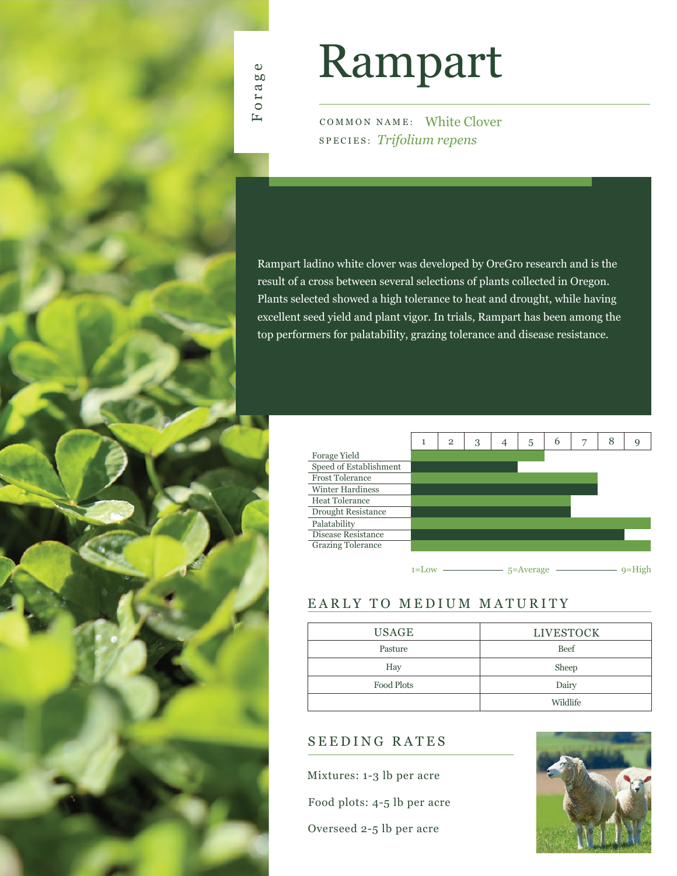

# Rampart

COMMON NAME: White Clover SPECIES: *Trifolium repens*

Rampart ladino white clover was developed by OreGro research and is the result of a cross between several selections of plants collected in Oregon. Plants selected showed a high tolerance to heat and drought, while having excellent seed yield and plant vigor. In trials, Rampart has been among the top performers for palatability, grazing tolerance and disease resistance.

|                         | 1         | $\overline{2}$ | 3 | 4 | 5             | 6 | 7 | 8 | Q        |
|-------------------------|-----------|----------------|---|---|---------------|---|---|---|----------|
| Forage Yield            |           |                |   |   |               |   |   |   |          |
| Speed of Establishment  |           |                |   |   |               |   |   |   |          |
| <b>Frost Tolerance</b>  |           |                |   |   |               |   |   |   |          |
| <b>Winter Hardiness</b> |           |                |   |   |               |   |   |   |          |
| <b>Heat Tolerance</b>   |           |                |   |   |               |   |   |   |          |
| Drought Resistance      |           |                |   |   |               |   |   |   |          |
| Palatability            |           |                |   |   |               |   |   |   |          |
| Disease Resistance      |           |                |   |   |               |   |   |   |          |
| Grazing Tolerance       |           |                |   |   |               |   |   |   |          |
|                         |           |                |   |   |               |   |   |   |          |
|                         | $1 = Low$ |                |   |   | $5 = Average$ |   |   |   | $q=High$ |

### EARLY TO MEDIUM MATURITY

| <b>USAGE</b> | <b>LIVESTOCK</b> |  |  |  |  |  |
|--------------|------------------|--|--|--|--|--|
| Pasture      | Beef             |  |  |  |  |  |
| Hay          | Sheep            |  |  |  |  |  |
| Food Plots   | Dairy            |  |  |  |  |  |
|              | Wildlife         |  |  |  |  |  |

## SEEDING RATES

Mixtures: 1-3 lb per acre

Food plots: 4-5 lb per acre

Overseed 2-5 lb per acre